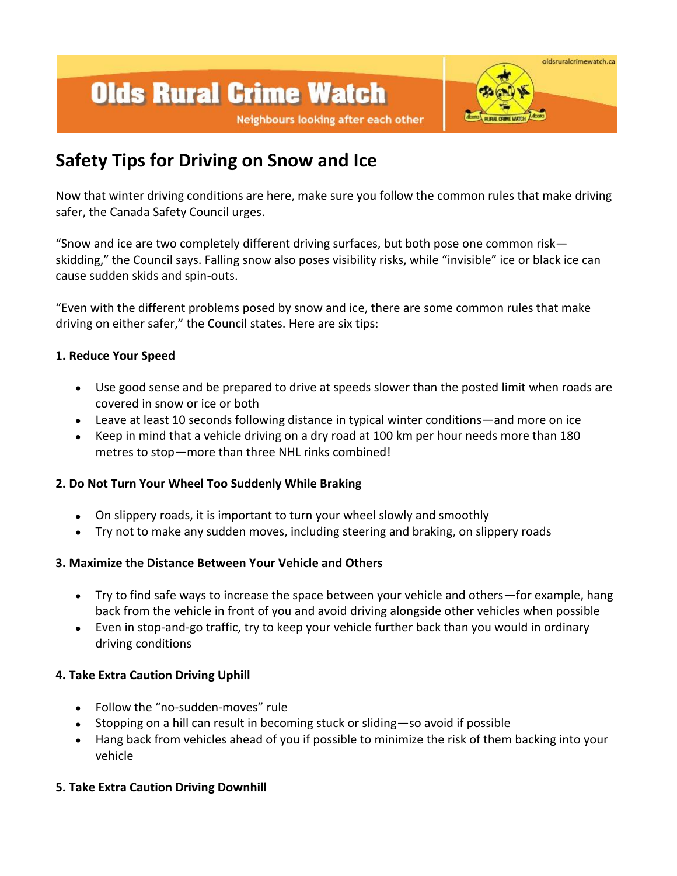# **Olds Rural Crime Watch**



#### Neighbours looking after each other

# **Safety Tips for Driving on Snow and Ice**

Now that winter driving conditions are here, make sure you follow the common rules that make driving safer, the Canada Safety Council urges.

"Snow and ice are two completely different driving surfaces, but both pose one common risk skidding," the Council says. Falling snow also poses visibility risks, while "invisible" ice or black ice can cause sudden skids and spin-outs.

"Even with the different problems posed by snow and ice, there are some common rules that make driving on either safer," the Council states. Here are six tips:

### **1. Reduce Your Speed**

- Use good sense and be prepared to drive at speeds slower than the posted limit when roads are covered in snow or ice or both
- Leave at least 10 seconds following distance in typical winter conditions—and more on ice
- Keep in mind that a vehicle driving on a dry road at 100 km per hour needs more than 180  $\bullet$ metres to stop—more than three NHL rinks combined!

# **2. Do Not Turn Your Wheel Too Suddenly While Braking**

- On slippery roads, it is important to turn your wheel slowly and smoothly  $\bullet$
- Try not to make any sudden moves, including steering and braking, on slippery roads  $\bullet$

# **3. Maximize the Distance Between Your Vehicle and Others**

- Try to find safe ways to increase the space between your vehicle and others—for example, hang back from the vehicle in front of you and avoid driving alongside other vehicles when possible
- Even in stop-and-go traffic, try to keep your vehicle further back than you would in ordinary driving conditions

### **4. Take Extra Caution Driving Uphill**

- Follow the "no-sudden-moves" rule  $\bullet$
- Stopping on a hill can result in becoming stuck or sliding—so avoid if possible
- Hang back from vehicles ahead of you if possible to minimize the risk of them backing into your  $\bullet$ vehicle

# **5. Take Extra Caution Driving Downhill**